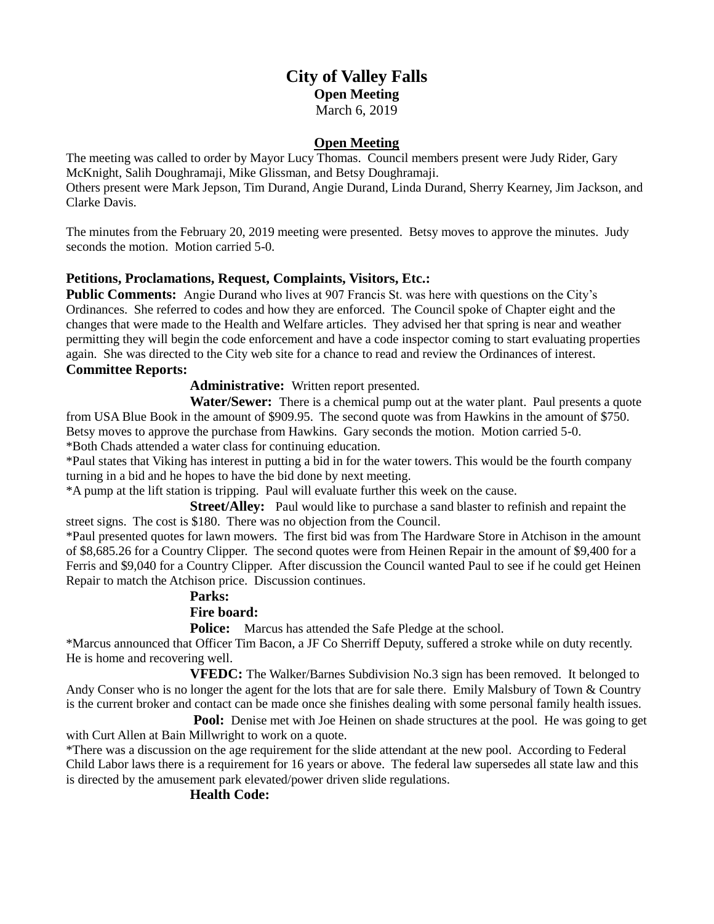# **City of Valley Falls Open Meeting** March 6, 2019

### **Open Meeting**

The meeting was called to order by Mayor Lucy Thomas. Council members present were Judy Rider, Gary McKnight, Salih Doughramaji, Mike Glissman, and Betsy Doughramaji. Others present were Mark Jepson, Tim Durand, Angie Durand, Linda Durand, Sherry Kearney, Jim Jackson, and Clarke Davis.

The minutes from the February 20, 2019 meeting were presented. Betsy moves to approve the minutes. Judy seconds the motion. Motion carried 5-0.

### **Petitions, Proclamations, Request, Complaints, Visitors, Etc.:**

**Public Comments:** Angie Durand who lives at 907 Francis St. was here with questions on the City's Ordinances. She referred to codes and how they are enforced. The Council spoke of Chapter eight and the changes that were made to the Health and Welfare articles. They advised her that spring is near and weather permitting they will begin the code enforcement and have a code inspector coming to start evaluating properties again. She was directed to the City web site for a chance to read and review the Ordinances of interest. **Committee Reports:**

**Administrative:** Written report presented.

**Water/Sewer:** There is a chemical pump out at the water plant. Paul presents a quote from USA Blue Book in the amount of \$909.95. The second quote was from Hawkins in the amount of \$750. Betsy moves to approve the purchase from Hawkins. Gary seconds the motion. Motion carried 5-0. \*Both Chads attended a water class for continuing education.

\*Paul states that Viking has interest in putting a bid in for the water towers. This would be the fourth company turning in a bid and he hopes to have the bid done by next meeting.

\*A pump at the lift station is tripping. Paul will evaluate further this week on the cause.

**Street/Alley:** Paul would like to purchase a sand blaster to refinish and repaint the street signs. The cost is \$180. There was no objection from the Council.

\*Paul presented quotes for lawn mowers. The first bid was from The Hardware Store in Atchison in the amount of \$8,685.26 for a Country Clipper. The second quotes were from Heinen Repair in the amount of \$9,400 for a Ferris and \$9,040 for a Country Clipper. After discussion the Council wanted Paul to see if he could get Heinen Repair to match the Atchison price. Discussion continues.

#### **Parks: Fire board:**

**Police:** Marcus has attended the Safe Pledge at the school.

\*Marcus announced that Officer Tim Bacon, a JF Co Sherriff Deputy, suffered a stroke while on duty recently. He is home and recovering well.

**VFEDC:** The Walker/Barnes Subdivision No.3 sign has been removed. It belonged to Andy Conser who is no longer the agent for the lots that are for sale there. Emily Malsbury of Town & Country is the current broker and contact can be made once she finishes dealing with some personal family health issues.

**Pool:** Denise met with Joe Heinen on shade structures at the pool. He was going to get with Curt Allen at Bain Millwright to work on a quote.

\*There was a discussion on the age requirement for the slide attendant at the new pool. According to Federal Child Labor laws there is a requirement for 16 years or above. The federal law supersedes all state law and this is directed by the amusement park elevated/power driven slide regulations.

# **Health Code:**